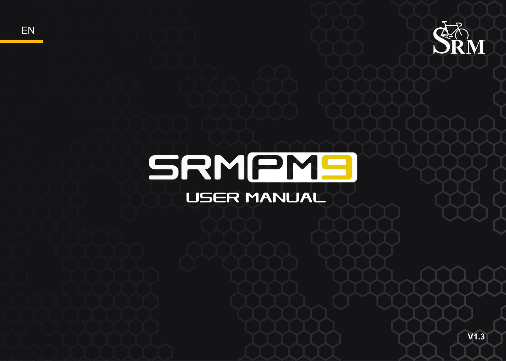

# SRMPMS **USER MANUAL**

**EN**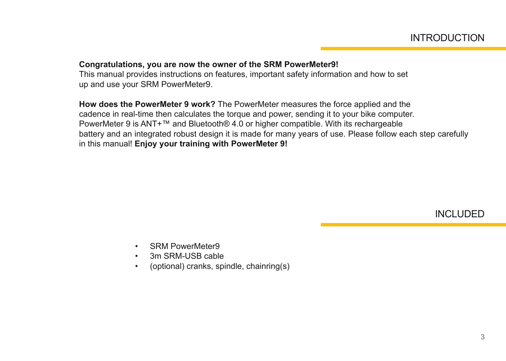#### **Congratulations, you are now the owner of the SRM PowerMeter9!**

This manual provides instructions on features, important safety information and how to set up and use your SRM PowerMeter9.

**How does the PowerMeter 9 work?** The PowerMeter measures the force applied and the cadence in real-time then calculates the torque and power, sending it to your bike computer. PowerMeter 9 is ANT+™ and Bluetooth® 4.0 or higher compatible. With its rechargeable battery and an integrated robust design it is made for many years of use. Please follow each step carefully in this manual! **Enjoy your training with PowerMeter 9!**

INCLUDED

- SRM PowerMeter9
- 3m SRM-USB cable
- (optional) cranks, spindle, chainring(s)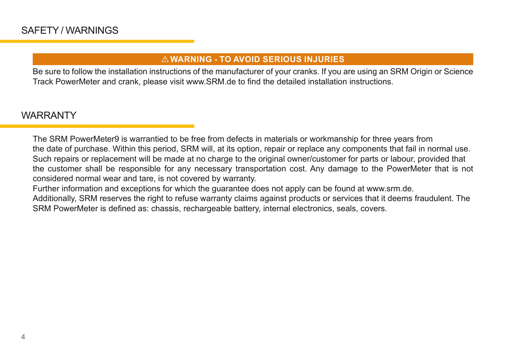## I **WARNING - TO AVOID SERIOUS INJURIES**

Be sure to follow the installation instructions of the manufacturer of your cranks. If you are using an SRM Origin or Science Track PowerMeter and crank, please visit www.SRM.de to find the detailed installation instructions.

# WARRANTY

The SRM PowerMeter9 is warrantied to be free from defects in materials or workmanship for three years from the date of purchase. Within this period, SRM will, at its option, repair or replace any components that fail in normal use. Such repairs or replacement will be made at no charge to the original owner/customer for parts or labour, provided that the customer shall be responsible for any necessary transportation cost. Any damage to the PowerMeter that is not considered normal wear and tare, is not covered by warranty.

Further information and exceptions for which the guarantee does not apply can be found at www.srm.de.

Additionally, SRM reserves the right to refuse warranty claims against products or services that it deems fraudulent. The SRM PowerMeter is defined as: chassis, rechargeable battery, internal electronics, seals, covers.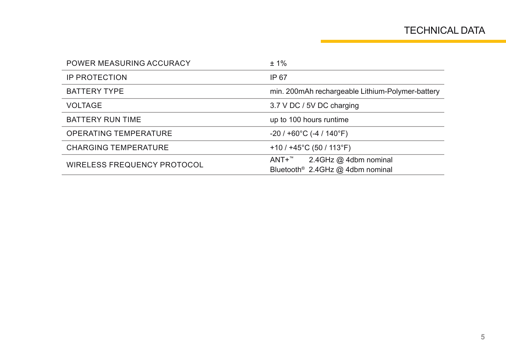| POWER MEASURING ACCURACY     | $±1\%$                                                                         |  |
|------------------------------|--------------------------------------------------------------------------------|--|
| <b>IP PROTECTION</b>         | IP 67                                                                          |  |
| <b>BATTERY TYPE</b>          | min. 200mAh rechargeable Lithium-Polymer-battery                               |  |
| <b>VOLTAGE</b>               | 3.7 V DC / 5V DC charging                                                      |  |
| <b>BATTERY RUN TIME</b>      | up to 100 hours runtime                                                        |  |
| <b>OPERATING TEMPERATURE</b> | $-20/+60^{\circ}$ C (-4 / 140 $^{\circ}$ F)                                    |  |
| <b>CHARGING TEMPERATURE</b>  | $+10/+45^{\circ}$ C (50 / 113 $^{\circ}$ F)                                    |  |
| WIRELESS FREQUENCY PROTOCOL  | 2.4GHz @ 4dbm nominal<br>ANT+™<br>Bluetooth <sup>®</sup> 2.4GHz @ 4dbm nominal |  |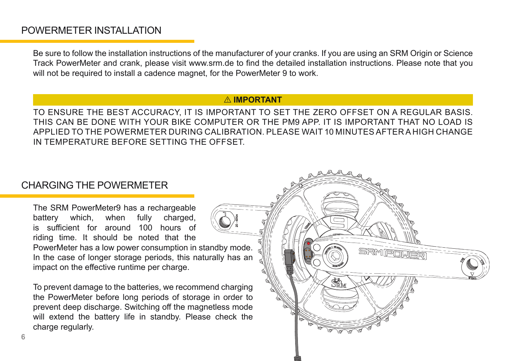## POWERMETER INSTALLATION

Be sure to follow the installation instructions of the manufacturer of your cranks. If you are using an SRM Origin or Science Track PowerMeter and crank, please visit www.srm.de to find the detailed installation instructions. Please note that you will not be required to install a cadence magnet, for the PowerMeter 9 to work.

## **A** IMPORTANT

TO ENSURE THE BEST ACCURACY, IT IS IMPORTANT TO SET THE ZERO OFFSET ON A REGULAR BASIS. THIS CAN BE DONE WITH YOUR BIKE COMPUTER OR THE PM9 APP. IT IS IMPORTANT THAT NO LOAD IS APPLIED TO THE POWERMETER DURING CALIBRATION. PLEASE WAIT 10 MINUTES AFTER A HIGH CHANGE IN TEMPERATURE BEFORE SETTING THE OFFSET.

## CHARGING THE POWERMETER

The SRM PowerMeter9 has a rechargeable battery which, when fully charged, is sufficient for around 100 hours of riding time. It should be noted that the PowerMeter has a low power consumption in standby mode. In the case of longer storage periods, this naturally has an impact on the effective runtime per charge.

To prevent damage to the batteries, we recommend charging the PowerMeter before long periods of storage in order to prevent deep discharge. Switching off the magnetless mode will extend the battery life in standby. Please check the charge regularly.

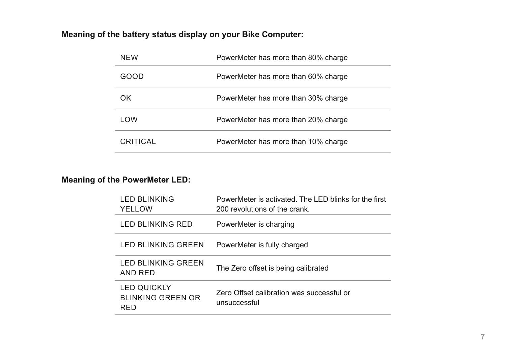## **Meaning of the battery status display on your Bike Computer:**

| <b>NFW</b> | PowerMeter has more than 80% charge |
|------------|-------------------------------------|
| GOOD       | PowerMeter has more than 60% charge |
| OK.        | PowerMeter has more than 30% charge |
| LOW        | PowerMeter has more than 20% charge |
| CRITICAL   | PowerMeter has more than 10% charge |
|            |                                     |

## **Meaning of the PowerMeter LED:**

| <b>LED BLINKING</b><br>YELLOW                         | PowerMeter is activated. The LED blinks for the first<br>200 revolutions of the crank. |
|-------------------------------------------------------|----------------------------------------------------------------------------------------|
| LED BLINKING RED                                      | PowerMeter is charging                                                                 |
| LED BLINKING GREEN                                    | PowerMeter is fully charged                                                            |
| <b>LED BLINKING GREEN</b><br>AND RED                  | The Zero offset is being calibrated                                                    |
| <b>LED QUICKLY</b><br><b>BLINKING GREEN OR</b><br>RFD | Zero Offset calibration was successful or<br>unsuccessful                              |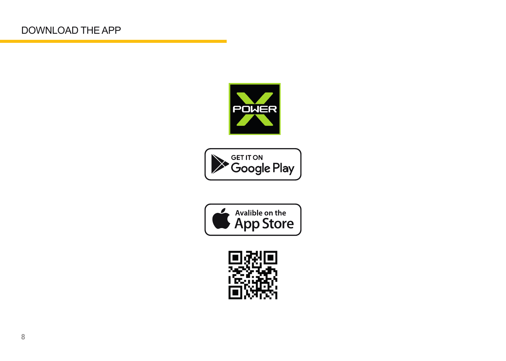





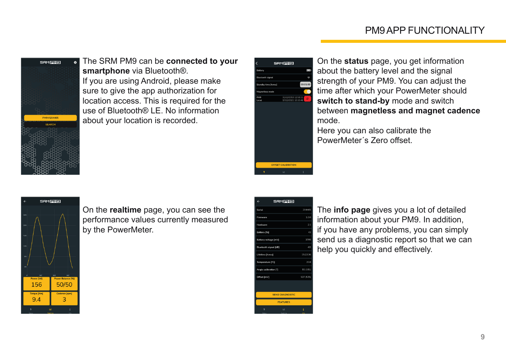# PM9 APP FUNCTIONALITY



The SRM PM9 can be **connected to your smartphone** via Bluetooth®. If you are using Android, please make sure to give the app authorization for location access. This is required for the use of Bluetooth® LE. No information about your location is recorded.

| Battery                 |                     |
|-------------------------|---------------------|
| <b>Bluetooth signal</b> |                     |
| Standby time [h:m:s]    | 00:05:00            |
| Magnetless mode         |                     |
| PM9                     | 31/12/2053 12:53:22 |
| Local                   | 17/12/2021 10:10:46 |
|                         |                     |
|                         |                     |
|                         |                     |
|                         |                     |
|                         |                     |
|                         |                     |
|                         |                     |

On the **status** page, you get information about the battery level and the signal strength of your PM9. You can adjust the time after which your PowerMeter should **switch to stand-by** mode and switch between **magnetless and magnet cadence** mode.

Here you can also calibrate the PowerMeter´s Zero offset.



On the **realtime** page, you can see the performance values currently measured by the PowerMeter.

| ←                           | <b>SRM PM91</b> |           |  |  |
|-----------------------------|-----------------|-----------|--|--|
| Serial                      |                 | 204465    |  |  |
| Firmware                    |                 | 1.0.0     |  |  |
| Hardware                    |                 | 2.1       |  |  |
| Battery [%]                 |                 | 43        |  |  |
| <b>Battery voltage [mV]</b> |                 | 3795      |  |  |
| Bluetooth signal [dB]       |                 | $-62$     |  |  |
| Lifetime [h:m:s]            |                 | 15:22:36  |  |  |
| Temperature ['C]            |                 | 20.8      |  |  |
| Angle calibration [1]       |                 | 81 (181)  |  |  |
| Offset [mV]                 |                 | 527 (525) |  |  |
|                             |                 |           |  |  |
| <b>SEND DIAGNOSTIC</b>      |                 |           |  |  |
|                             | <b>FEATURES</b> |           |  |  |
|                             | محا             |           |  |  |
|                             |                 |           |  |  |

The **info page** gives you a lot of detailed information about your PM9. In addition, if you have any problems, you can simply send us a diagnostic report so that we can help you quickly and effectively.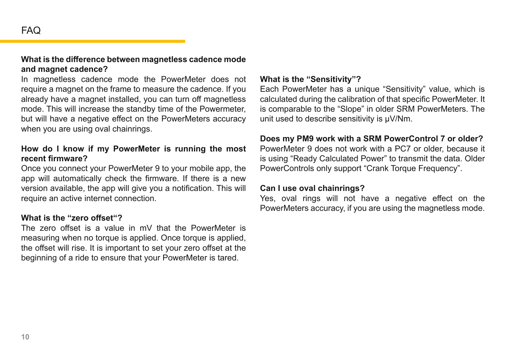## **What is the difference between magnetless cadence mode and magnet cadence?**

In magnetless cadence mode the PowerMeter does not require a magnet on the frame to measure the cadence. If you already have a magnet installed, you can turn off magnetless mode. This will increase the standby time of the Powermeter, but will have a negative effect on the PowerMeters accuracy when you are using oval chainrings.

### **How do I know if my PowerMeter is running the most recent firmware?**

Once you connect your PowerMeter 9 to your mobile app, the app will automatically check the firmware. If there is a new version available, the app will give you a notification. This will require an active internet connection.

#### **What is the "zero offset"?**

The zero offset is a value in mV that the PowerMeter is measuring when no torque is applied. Once torque is applied, the offset will rise. It is important to set your zero offset at the beginning of a ride to ensure that your PowerMeter is tared.

#### **What is the "Sensitivity"?**

Each PowerMeter has a unique "Sensitivity" value, which is calculated during the calibration of that specific PowerMeter. It is comparable to the "Slope" in older SRM PowerMeters. The unit used to describe sensitivity is μV/Nm.

## **Does my PM9 work with a SRM PowerControl 7 or older?**

PowerMeter 9 does not work with a PC7 or older, because it is using "Ready Calculated Power" to transmit the data. Older PowerControls only support "Crank Torque Frequency".

#### **Can I use oval chainrings?**

Yes, oval rings will not have a negative effect on the PowerMeters accuracy, if you are using the magnetless mode.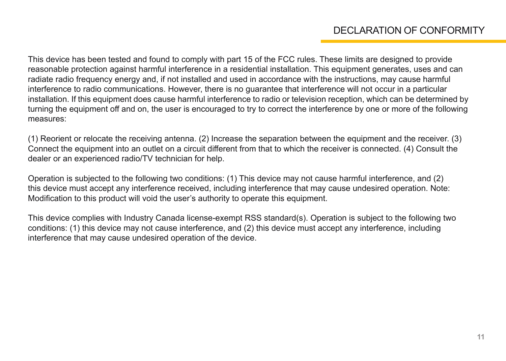This device has been tested and found to comply with part 15 of the FCC rules. These limits are designed to provide reasonable protection against harmful interference in a residential installation. This equipment generates, uses and can radiate radio frequency energy and, if not installed and used in accordance with the instructions, may cause harmful interference to radio communications. However, there is no guarantee that interference will not occur in a particular installation. If this equipment does cause harmful interference to radio or television reception, which can be determined by turning the equipment off and on, the user is encouraged to try to correct the interference by one or more of the following measures:

(1) Reorient or relocate the receiving antenna. (2) Increase the separation between the equipment and the receiver. (3) Connect the equipment into an outlet on a circuit different from that to which the receiver is connected. (4) Consult the dealer or an experienced radio/TV technician for help.

Operation is subjected to the following two conditions: (1) This device may not cause harmful interference, and (2) this device must accept any interference received, including interference that may cause undesired operation. Note: Modification to this product will void the user's authority to operate this equipment.

This device complies with Industry Canada license-exempt RSS standard(s). Operation is subject to the following two conditions: (1) this device may not cause interference, and (2) this device must accept any interference, including interference that may cause undesired operation of the device.